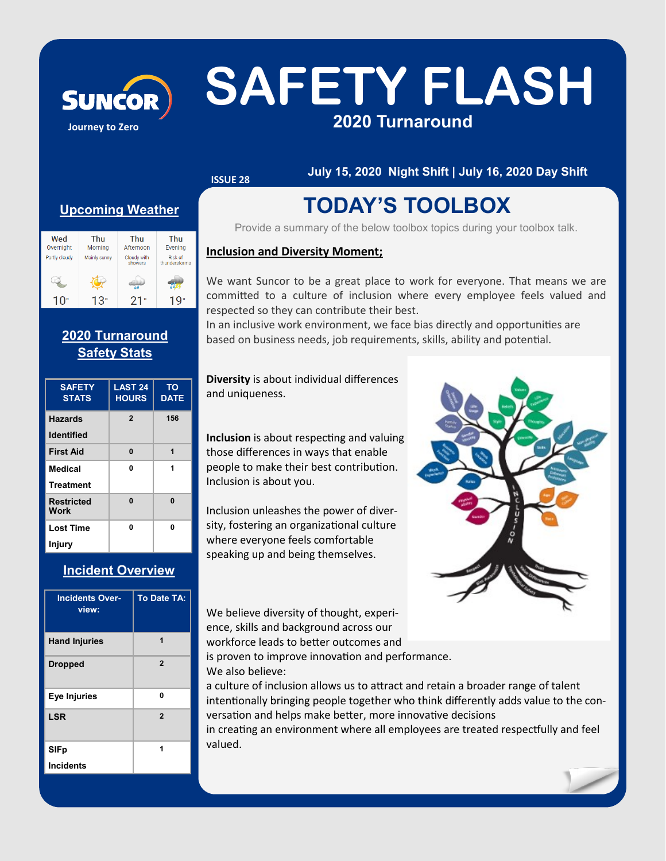# **Journey to Zero**

## SUNCOR SAFETY FLASH **2020 Turnaround**

**ISSUE 28**

**July 15, 2020 Night Shift | July 16, 2020 Day Shift**

## **Upcoming Weather**

| Wed<br>Overnight | Thu<br>Morning | Thu<br>Afternoon       | Thu<br>Evening                  |
|------------------|----------------|------------------------|---------------------------------|
| Partly cloudy    | Mainly sunny   | Cloudy with<br>showers | <b>Risk of</b><br>thunderstorms |
|                  |                |                        |                                 |
| 10°              | 13°            | $21^{\circ}$           |                                 |

## **2020 Turnaround Safety Stats**

| <b>SAFETY</b><br><b>STATS</b> | LAST 24<br><b>HOURS</b> | <b>TO</b><br><b>DATE</b> |
|-------------------------------|-------------------------|--------------------------|
| <b>Hazards</b>                | $\overline{2}$          | 156                      |
| <b>Identified</b>             |                         |                          |
| <b>First Aid</b>              | $\bf{0}$                | 1                        |
| <b>Medical</b>                | 0                       | 1                        |
| <b>Treatment</b>              |                         |                          |
| <b>Restricted</b><br>Work     | 0                       | $\bf{0}$                 |
| <b>Lost Time</b>              | 0                       | 0                        |
| Injury                        |                         |                          |

## **Incident Overview**

| <b>Incidents Over-</b><br>view: | <b>To Date TA:</b> |
|---------------------------------|--------------------|
| <b>Hand Injuries</b>            | 1                  |
| <b>Dropped</b>                  | $\overline{2}$     |
| Eye Injuries                    | 0                  |
| <b>LSR</b>                      | $\overline{2}$     |
| <b>SIFp</b>                     | 1                  |
| <b>Incidents</b>                |                    |

## **TODAY'S TOOLBOX**

Provide a summary of the below toolbox topics during your toolbox talk.

### **Inclusion and Diversity Moment;**

We want Suncor to be a great place to work for everyone. That means we are committed to a culture of inclusion where every employee feels valued and respected so they can contribute their best.

In an inclusive work environment, we face bias directly and opportunities are based on business needs, job requirements, skills, ability and potential.

**Diversity** is about individual differences and uniqueness.

**Inclusion** is about respecting and valuing those differences in ways that enable people to make their best contribution. Inclusion is about you.

Inclusion unleashes the power of diversity, fostering an organizational culture where everyone feels comfortable speaking up and being themselves.

We believe diversity of thought, experience, skills and background across our workforce leads to better outcomes and



is proven to improve innovation and performance. We also believe:

a culture of inclusion allows us to attract and retain a broader range of talent intentionally bringing people together who think differently adds value to the conversation and helps make better, more innovative decisions

in creating an environment where all employees are treated respectfully and feel valued.